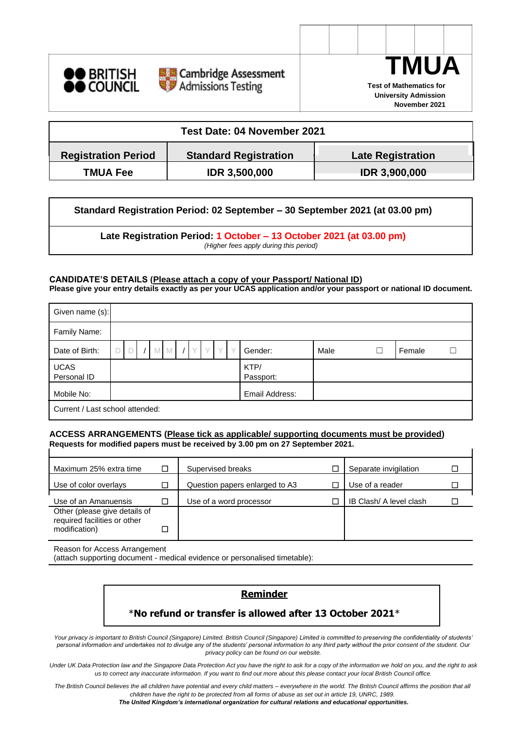





**November 2021**

 $\overline{1}$ 

| Test Date: 04 November 2021 |                              |                          |  |  |  |  |  |  |  |
|-----------------------------|------------------------------|--------------------------|--|--|--|--|--|--|--|
| <b>Registration Period</b>  | <b>Standard Registration</b> | <b>Late Registration</b> |  |  |  |  |  |  |  |
| <b>TMUA Fee</b>             | <b>IDR 3,500,000</b>         | <b>IDR 3,900,000</b>     |  |  |  |  |  |  |  |

**Standard Registration Period: 02 September – 30 September 2021 (at 03.00 pm)**

**Late Registration Period: 1 October – 13 October 2021 (at 03.00 pm)** *(Higher fees apply during this period)*

#### **CANDIDATE'S DETAILS (Please attach a copy of your Passport/ National ID)**

**Please give your entry details exactly as per your UCAS application and/or your passport or national ID document.**

| Given name (s):                 |  |  |  |    |   |  |  |                   |      |   |        |  |
|---------------------------------|--|--|--|----|---|--|--|-------------------|------|---|--------|--|
| Family Name:                    |  |  |  |    |   |  |  |                   |      |   |        |  |
| Date of Birth:                  |  |  |  | M. | M |  |  | Gender:           | Male | П | Female |  |
| <b>UCAS</b><br>Personal ID      |  |  |  |    |   |  |  | KTP/<br>Passport: |      |   |        |  |
| Mobile No:                      |  |  |  |    |   |  |  | Email Address:    |      |   |        |  |
| Current / Last school attended: |  |  |  |    |   |  |  |                   |      |   |        |  |

### **ACCESS ARRANGEMENTS (Please tick as applicable/ supporting documents must be provided) Requests for modified papers must be received by 3.00 pm on 27 September 2021.**

| Maximum 25% extra time                                        | □ | Supervised breaks              | Separate invigilation   |  |
|---------------------------------------------------------------|---|--------------------------------|-------------------------|--|
| Use of color overlays                                         | ◘ | Question papers enlarged to A3 | Use of a reader         |  |
| Use of an Amanuensis                                          | □ | Use of a word processor        | IB Clash/ A level clash |  |
| Other (please give details of<br>required facilities or other |   |                                |                         |  |
| modification)                                                 | ⊐ |                                |                         |  |

Reason for Access Arrangement

(attach supporting document - medical evidence or personalised timetable):

## **Reminder**

# \***No refund or transfer is allowed after 13 October 2021**\*

*Your privacy is important to British Council (Singapore) Limited. British Council (Singapore) Limited is committed to preserving the confidentiality of students' personal information and undertakes not to divulge any of the students' personal information to any third party without the prior consent of the student. Our privacy policy can be found on our website.*

*Under UK Data Protection law and the Singapore Data Protection Act you have the right to ask for a copy of the information we hold on you, and the right to ask us to correct any inaccurate information. If you want to find out more about this please contact your local British Council office.*

*The British Council believes the all children have potential and every child matters – everywhere in the world. The British Council affirms the position that all children have the right to be protected from all forms of abuse as set out in article 19, UNRC, 1989. The United Kingdom's international organization for cultural relations and educational opportunities.*